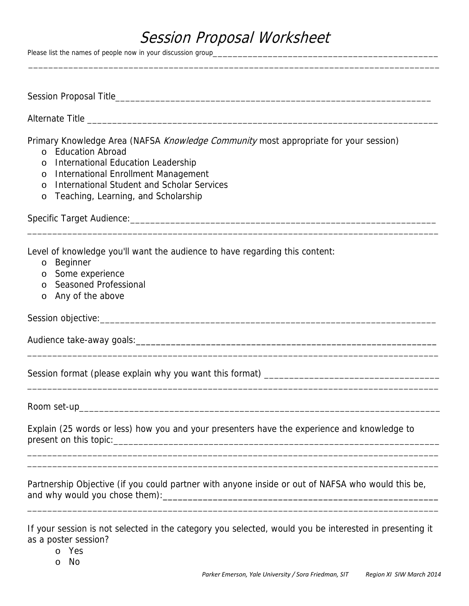## Session Proposal Worksheet

\_\_\_\_\_\_\_\_\_\_\_\_\_\_\_\_\_\_\_\_\_\_\_\_\_\_\_\_\_\_\_\_\_\_\_\_\_\_\_\_\_\_\_\_\_\_\_\_\_\_\_\_\_\_\_\_\_\_\_\_\_\_\_\_\_\_\_\_\_\_\_\_\_\_\_\_\_\_\_\_\_\_

Please list the names of people now in your discussion group\_

| Primary Knowledge Area (NAFSA Knowledge Community most appropriate for your session)<br>o Education Abroad<br>International Education Leadership<br>$\circ$<br>International Enrollment Management<br>$\circ$<br>International Student and Scholar Services<br>$\circ$<br>Teaching, Learning, and Scholarship<br>$\circ$ |
|--------------------------------------------------------------------------------------------------------------------------------------------------------------------------------------------------------------------------------------------------------------------------------------------------------------------------|
| Level of knowledge you'll want the audience to have regarding this content:<br>Beginner<br>$\circ$<br>Some experience<br>$\circ$<br>Seasoned Professional<br>$\Omega$<br>Any of the above<br>$\circ$                                                                                                                     |
|                                                                                                                                                                                                                                                                                                                          |
|                                                                                                                                                                                                                                                                                                                          |
|                                                                                                                                                                                                                                                                                                                          |
|                                                                                                                                                                                                                                                                                                                          |
| Explain (25 words or less) how you and your presenters have the experience and knowledge to                                                                                                                                                                                                                              |
| Partnership Objective (if you could partner with anyone inside or out of NAFSA who would this be,                                                                                                                                                                                                                        |
| If your session is not selected in the category you selected, would you be interested in presenting it<br>as a poster session?                                                                                                                                                                                           |

o Yes

o No